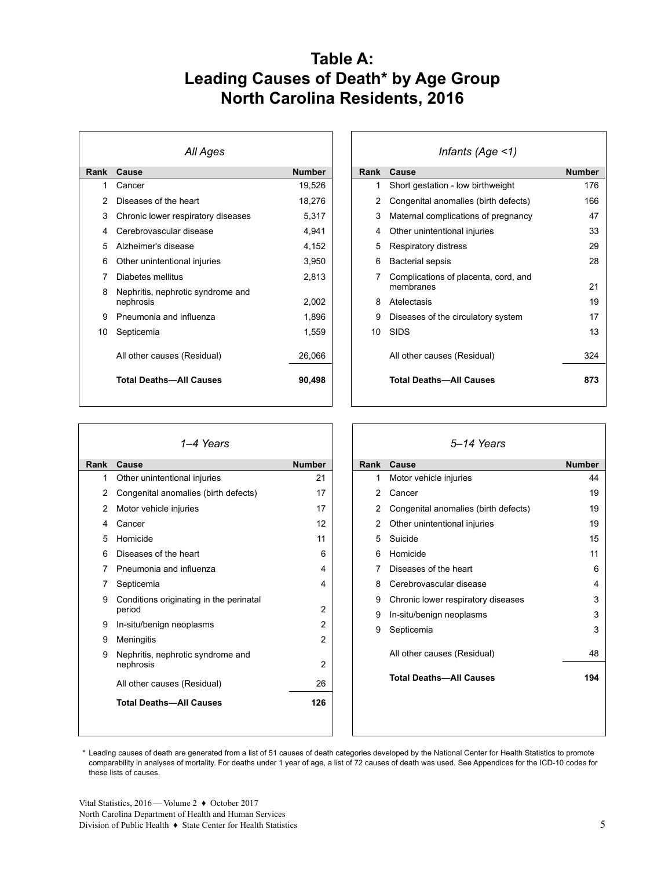### **Table A: Leading Causes of Death\* by Age Group North Carolina Residents, 2016**

| All Ages |                                                |               |
|----------|------------------------------------------------|---------------|
| Rank     | <b>Cause</b>                                   | <b>Number</b> |
| 1        | Cancer                                         | 19,526        |
| 2        | Diseases of the heart                          | 18,276        |
| 3        | Chronic lower respiratory diseases             | 5,317         |
| 4        | Cerebrovascular disease                        | 4,941         |
| 5        | Alzheimer's disease                            | 4,152         |
| 6        | Other unintentional injuries                   | 3,950         |
| 7        | Diabetes mellitus                              | 2,813         |
| 8        | Nephritis, nephrotic syndrome and<br>nephrosis | 2,002         |
| 9        | Pneumonia and influenza                        | 1,896         |
| 10       | Septicemia                                     | 1,559         |
|          | All other causes (Residual)                    | 26,066        |
|          | <b>Total Deaths-All Causes</b>                 | 90,498        |

| Infants (Age $\leq$ 1) |                                                   |               |
|------------------------|---------------------------------------------------|---------------|
| Rank                   | Cause                                             | <b>Number</b> |
| 1                      | Short gestation - low birthweight                 | 176           |
| 2                      | Congenital anomalies (birth defects)              | 166           |
| 3                      | Maternal complications of pregnancy               | 47            |
| 4                      | Other unintentional injuries                      | 33            |
| 5                      | Respiratory distress                              | 29            |
| 6                      | <b>Bacterial sepsis</b>                           | 28            |
| 7                      | Complications of placenta, cord, and<br>membranes | 21            |
| 8                      | Atelectasis                                       | 19            |
| 9                      | Diseases of the circulatory system                | 17            |
| 10                     | <b>SIDS</b>                                       | 13            |
|                        | All other causes (Residual)                       | 324           |
|                        | <b>Total Deaths-All Causes</b>                    | 873           |
|                        |                                                   |               |

| 1–4 Years     |                                                   |                |
|---------------|---------------------------------------------------|----------------|
| Rank          | Cause                                             | <b>Number</b>  |
| 1             | Other unintentional injuries                      | 21             |
| $\mathcal{P}$ | Congenital anomalies (birth defects)              | 17             |
| 2             | Motor vehicle injuries                            | 17             |
| 4             | Cancer                                            | 12             |
| 5             | Homicide                                          | 11             |
| 6             | Diseases of the heart                             | 6              |
| 7             | Pneumonia and influenza                           | 4              |
| 7             | Septicemia                                        | 4              |
| 9             | Conditions originating in the perinatal<br>period | 2              |
| 9             | In-situ/benign neoplasms                          | $\overline{2}$ |
| 9             | Meningitis                                        | 2              |
| 9             | Nephritis, nephrotic syndrome and<br>nephrosis    | 2              |
|               | All other causes (Residual)                       | 26             |
|               | <b>Total Deaths-All Causes</b>                    | 126            |
|               |                                                   |                |

| 5–14 Years |                                      |               |
|------------|--------------------------------------|---------------|
| Rank       | Cause                                | <b>Number</b> |
| 1          | Motor vehicle injuries               | 44            |
| 2          | Cancer                               | 19            |
| 2          | Congenital anomalies (birth defects) | 19            |
| 2          | Other unintentional injuries         | 19            |
| 5          | Suicide                              | 15            |
| 6          | Homicide                             | 11            |
| 7          | Diseases of the heart                | 6             |
| 8          | Cerebrovascular disease              | 4             |
| 9          | Chronic lower respiratory diseases   | 3             |
| 9          | In-situ/benign neoplasms             | 3             |
| 9          | Septicemia                           | 3             |
|            | All other causes (Residual)          | 48            |
|            | <b>Total Deaths-All Causes</b>       | 194           |
|            |                                      |               |
|            |                                      |               |

\* Leading causes of death are generated from a list of 51 causes of death categories developed by the National Center for Health Statistics to promote comparability in analyses of mortality. For deaths under 1 year of age, a list of 72 causes of death was used. See Appendices for the ICD-10 codes for these lists of causes.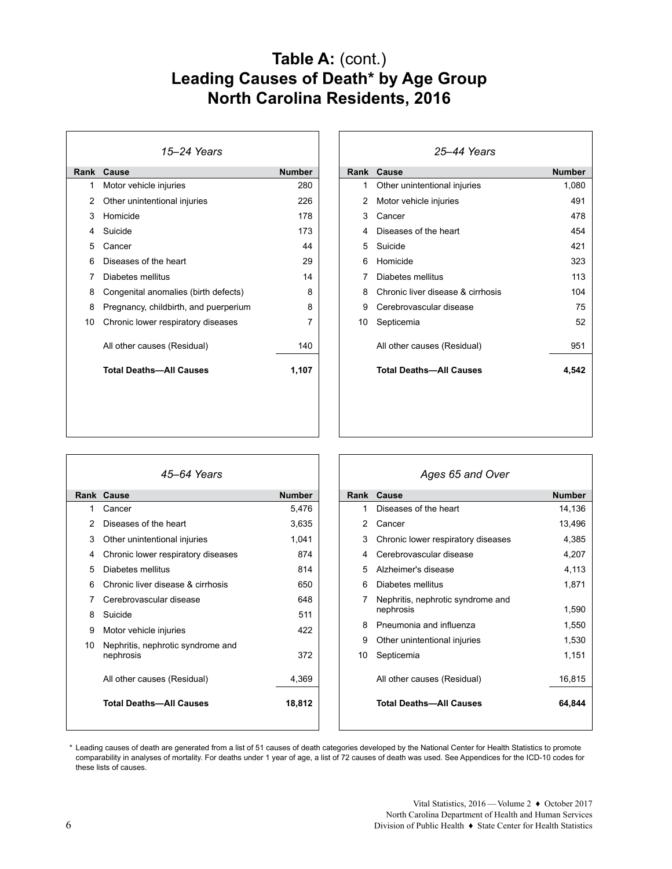### Table A: (cont.) **Leading Causes of Death\* by Age Group North Carolina Residents, 2016**

| 15–24 Years |                                       |               |
|-------------|---------------------------------------|---------------|
| Rank        | Cause                                 | <b>Number</b> |
| 1           | Motor vehicle injuries                | 280           |
| 2           | Other unintentional injuries          | 226           |
| 3           | Homicide                              | 178           |
| 4           | Suicide                               | 173           |
| 5           | Cancer                                | 44            |
| 6           | Diseases of the heart                 | 29            |
| 7           | Diabetes mellitus                     | 14            |
| 8           | Congenital anomalies (birth defects)  | 8             |
| 8           | Pregnancy, childbirth, and puerperium | 8             |
| 10          | Chronic lower respiratory diseases    | 7             |
|             | All other causes (Residual)           | 140           |
|             | <b>Total Deaths-All Causes</b>        | 1,107         |
|             |                                       |               |
|             |                                       |               |

| 25–44 Years |                                   |               |
|-------------|-----------------------------------|---------------|
| Rank        | Cause                             | <b>Number</b> |
| 1           | Other unintentional injuries      | 1,080         |
| 2           | Motor vehicle injuries            | 491           |
| 3           | Cancer                            | 478           |
| 4           | Diseases of the heart             | 454           |
| 5           | Suicide                           | 421           |
| 6           | Homicide                          | 323           |
| 7           | Diabetes mellitus                 | 113           |
| 8           | Chronic liver disease & cirrhosis | 104           |
| 9           | Cerebrovascular disease           | 75            |
| 10          | Septicemia                        | 52            |
|             | All other causes (Residual)       | 951           |
|             | <b>Total Deaths-All Causes</b>    | 4,542         |
|             |                                   |               |

| 45–64 Years |                                                |               |  |
|-------------|------------------------------------------------|---------------|--|
| Rank        | Cause                                          | <b>Number</b> |  |
| 1           | Cancer                                         | 5,476         |  |
| 2           | Diseases of the heart                          | 3,635         |  |
| 3           | Other unintentional injuries                   | 1,041         |  |
| 4           | Chronic lower respiratory diseases             | 874           |  |
| 5           | Diabetes mellitus                              | 814           |  |
| 6           | Chronic liver disease & cirrhosis              | 650           |  |
| 7           | Cerebrovascular disease                        | 648           |  |
| 8           | Suicide                                        | 511           |  |
| 9           | Motor vehicle injuries                         | 422           |  |
| 10          | Nephritis, nephrotic syndrome and<br>nephrosis | 372           |  |
|             | All other causes (Residual)                    | 4,369         |  |
|             | <b>Total Deaths-All Causes</b>                 | 18,812        |  |

| Ages 65 and Over |                                                |               |
|------------------|------------------------------------------------|---------------|
| Rank             | Cause                                          | <b>Number</b> |
| 1                | Diseases of the heart                          | 14,136        |
| 2                | Cancer                                         | 13,496        |
| 3                | Chronic lower respiratory diseases             | 4,385         |
| 4                | Cerebrovascular disease                        | 4,207         |
| 5                | Alzheimer's disease                            | 4,113         |
| 6                | Diabetes mellitus                              | 1,871         |
| 7                | Nephritis, nephrotic syndrome and<br>nephrosis | 1,590         |
| 8                | Pneumonia and influenza                        | 1,550         |
| 9                | Other unintentional injuries                   | 1,530         |
| 10               | Septicemia                                     | 1,151         |
|                  | All other causes (Residual)                    | 16,815        |
|                  | <b>Total Deaths-All Causes</b>                 | 64,844        |
|                  |                                                |               |

\* Leading causes of death are generated from a list of 51 causes of death categories developed by the National Center for Health Statistics to promote comparability in analyses of mortality. For deaths under 1 year of age, a list of 72 causes of death was used. See Appendices for the ICD-10 codes for these lists of causes.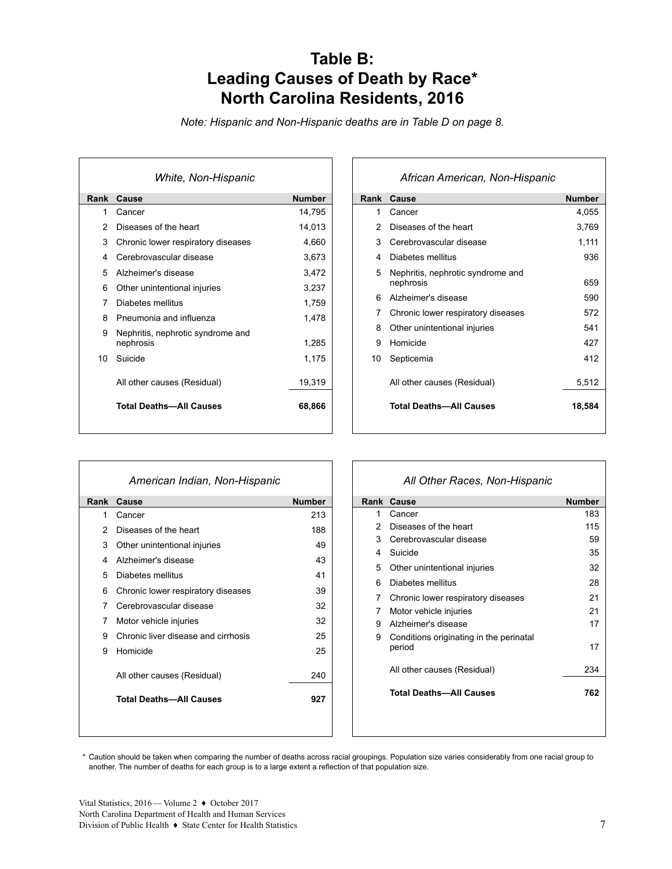### **Table B: Leading Causes of Death by Race\* North Carolina Residents, 2016**

*Note: Hispanic and Non-Hispanic deaths are in Table D on page 8.*

| White, Non-Hispanic |                                                |               |  |
|---------------------|------------------------------------------------|---------------|--|
| Rank                | Cause                                          | <b>Number</b> |  |
| 1                   | Cancer                                         | 14,795        |  |
| 2                   | Diseases of the heart                          | 14,013        |  |
| 3                   | Chronic lower respiratory diseases             | 4,660         |  |
| 4                   | Cerebrovascular disease                        | 3,673         |  |
| 5                   | Alzheimer's disease                            | 3,472         |  |
| 6                   | Other unintentional injuries                   | 3,237         |  |
| 7                   | Diabetes mellitus                              | 1.759         |  |
| 8                   | Pneumonia and influenza                        | 1,478         |  |
| 9                   | Nephritis, nephrotic syndrome and<br>nephrosis | 1,285         |  |
| 10.                 | Suicide                                        | 1,175         |  |
|                     | All other causes (Residual)                    | 19,319        |  |
|                     | <b>Total Deaths-All Causes</b>                 | 68,866        |  |

| African American, Non-Hispanic |                                                |               |
|--------------------------------|------------------------------------------------|---------------|
| Rank                           | Cause                                          | <b>Number</b> |
| 1                              | Cancer                                         | 4,055         |
| $\mathcal{P}$                  | Diseases of the heart                          | 3,769         |
| 3                              | Cerebrovascular disease                        | 1,111         |
| 4                              | Diabetes mellitus                              | 936           |
| 5                              | Nephritis, nephrotic syndrome and<br>nephrosis | 659           |
| 6                              | Alzheimer's disease                            | 590           |
| 7                              | Chronic lower respiratory diseases             | 572           |
| 8                              | Other unintentional injuries                   | 541           |
| 9                              | Homicide                                       | 427           |
| 10                             | Septicemia                                     | 412           |
|                                | All other causes (Residual)                    | 5,512         |
|                                | <b>Total Deaths-All Causes</b>                 | 18,584        |

|      | American Indian, Non-Hispanic       |               |
|------|-------------------------------------|---------------|
| Rank | Cause                               | <b>Number</b> |
| 1    | Cancer                              | 213           |
| 2    | Diseases of the heart               | 188           |
| 3    | Other unintentional injuries        | 49            |
| 4    | Alzheimer's disease                 | 43            |
| 5    | Diabetes mellitus                   | 41            |
| 6    | Chronic lower respiratory diseases  | 39            |
| 7    | Cerebrovascular disease             | 32            |
| 7    | Motor vehicle injuries              | 32            |
| 9    | Chronic liver disease and cirrhosis | 25            |
| 9    | Homicide                            | 25            |
|      | All other causes (Residual)         | 240           |
|      | <b>Total Deaths-All Causes</b>      | 927           |
|      |                                     |               |

### *All Other Races, Non-Hispanic*

|   | <b>Rank Cause</b>                                 | <b>Number</b> |
|---|---------------------------------------------------|---------------|
| 1 | Cancer                                            | 183           |
| 2 | Diseases of the heart                             | 115           |
| 3 | Cerebrovascular disease                           | 59            |
| 4 | Suicide                                           | 35            |
| 5 | Other unintentional injuries                      | 32            |
| 6 | Diabetes mellitus                                 | 28            |
| 7 | Chronic lower respiratory diseases                | 21            |
| 7 | Motor vehicle injuries                            | 21            |
| 9 | Alzheimer's disease                               | 17            |
| 9 | Conditions originating in the perinatal<br>period | 17            |
|   | All other causes (Residual)                       | 234           |
|   | <b>Total Deaths-All Causes</b>                    | 762           |
|   |                                                   |               |

 \* Caution should be taken when comparing the number of deaths across racial groupings. Population size varies considerably from one racial group to another. The number of deaths for each group is to a large extent a reflection of that population size.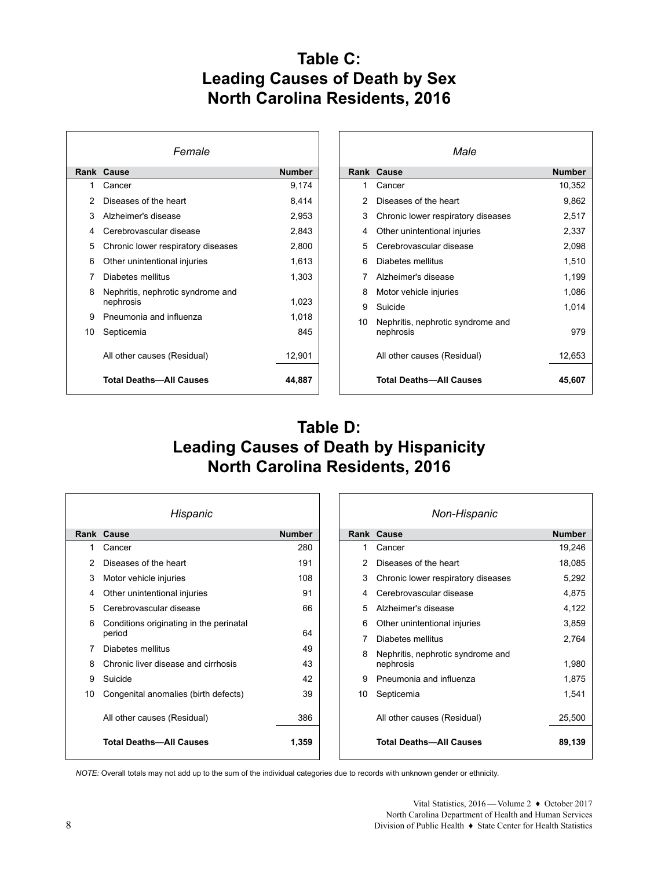## **Table C: Leading Causes of Death by Sex North Carolina Residents, 2016**

| Female |                                                |               |  |  |
|--------|------------------------------------------------|---------------|--|--|
| Rank   | Cause                                          | <b>Number</b> |  |  |
| 1      | Cancer                                         | 9,174         |  |  |
| 2      | Diseases of the heart                          | 8,414         |  |  |
| 3      | Alzheimer's disease                            | 2,953         |  |  |
| 4      | Cerebrovascular disease                        | 2,843         |  |  |
| 5      | Chronic lower respiratory diseases             | 2,800         |  |  |
| 6      | Other unintentional injuries                   | 1,613         |  |  |
| 7      | Diabetes mellitus                              | 1,303         |  |  |
| 8      | Nephritis, nephrotic syndrome and<br>nephrosis | 1,023         |  |  |
| 9      | Pneumonia and influenza                        | 1,018         |  |  |
| 10     | Septicemia                                     | 845           |  |  |
|        | All other causes (Residual)                    | 12,901        |  |  |
|        | <b>Total Deaths-All Causes</b>                 | 44,887        |  |  |

| Male |                                                |               |  |  |
|------|------------------------------------------------|---------------|--|--|
| Rank | Cause                                          | <b>Number</b> |  |  |
| 1    | Cancer                                         | 10,352        |  |  |
| 2    | Diseases of the heart                          | 9,862         |  |  |
| 3    | Chronic lower respiratory diseases             | 2,517         |  |  |
| 4    | Other unintentional injuries                   | 2,337         |  |  |
| 5    | Cerebrovascular disease                        | 2,098         |  |  |
| 6    | Diabetes mellitus                              | 1,510         |  |  |
| 7    | Alzheimer's disease                            | 1,199         |  |  |
| 8    | Motor vehicle injuries                         | 1.086         |  |  |
| 9    | Suicide                                        | 1,014         |  |  |
| 10   | Nephritis, nephrotic syndrome and<br>nephrosis | 979           |  |  |
|      | All other causes (Residual)                    | 12,653        |  |  |
|      | <b>Total Deaths-All Causes</b>                 | 45,607        |  |  |

### **Table D: Leading Causes of Death by Hispanicity North Carolina Residents, 2016**

| Hispanic |                                                   |               |  |  |
|----------|---------------------------------------------------|---------------|--|--|
|          | Rank Cause                                        | <b>Number</b> |  |  |
| 1        | Cancer                                            | 280           |  |  |
| 2        | Diseases of the heart                             | 191           |  |  |
| 3        | Motor vehicle injuries                            | 108           |  |  |
| 4        | Other unintentional injuries                      | 91            |  |  |
| 5        | Cerebrovascular disease                           | 66            |  |  |
| 6        | Conditions originating in the perinatal<br>period | 64            |  |  |
| 7        | Diabetes mellitus                                 | 49            |  |  |
| 8        | Chronic liver disease and cirrhosis               | 43            |  |  |
| 9        | Suicide                                           | 42            |  |  |
| 10       | Congenital anomalies (birth defects)              | 39            |  |  |
|          | All other causes (Residual)                       | 386           |  |  |
|          | <b>Total Deaths-All Causes</b>                    | 1,359         |  |  |

| Non-Hispanic |                                                |               |  |
|--------------|------------------------------------------------|---------------|--|
|              | Rank Cause                                     | <b>Number</b> |  |
| 1            | Cancer                                         | 19,246        |  |
| 2            | Diseases of the heart                          | 18,085        |  |
| 3            | Chronic lower respiratory diseases             | 5,292         |  |
| 4            | Cerebrovascular disease                        | 4,875         |  |
| 5            | Alzheimer's disease                            | 4,122         |  |
| 6            | Other unintentional injuries                   | 3,859         |  |
| 7            | Diabetes mellitus                              | 2.764         |  |
| 8            | Nephritis, nephrotic syndrome and<br>nephrosis | 1,980         |  |
| 9            | Pneumonia and influenza                        | 1,875         |  |
| 10           | Septicemia                                     | 1,541         |  |
|              | All other causes (Residual)                    | 25,500        |  |
|              | <b>Total Deaths-All Causes</b>                 | 89,139        |  |

*NOTE:* Overall totals may not add up to the sum of the individual categories due to records with unknown gender or ethnicity.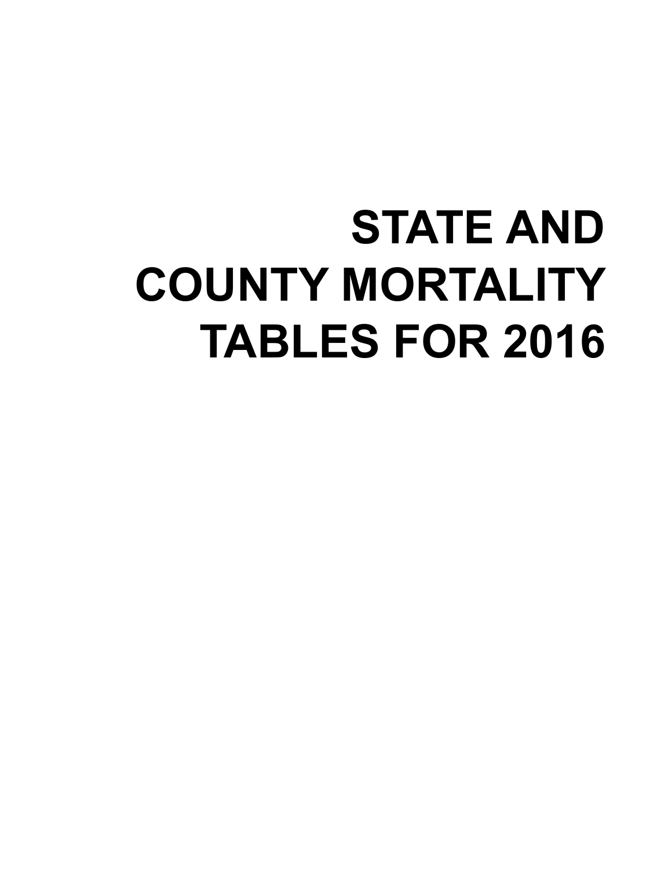# **STATE AND COUNTY MORTALITY TABLES FOR 2016**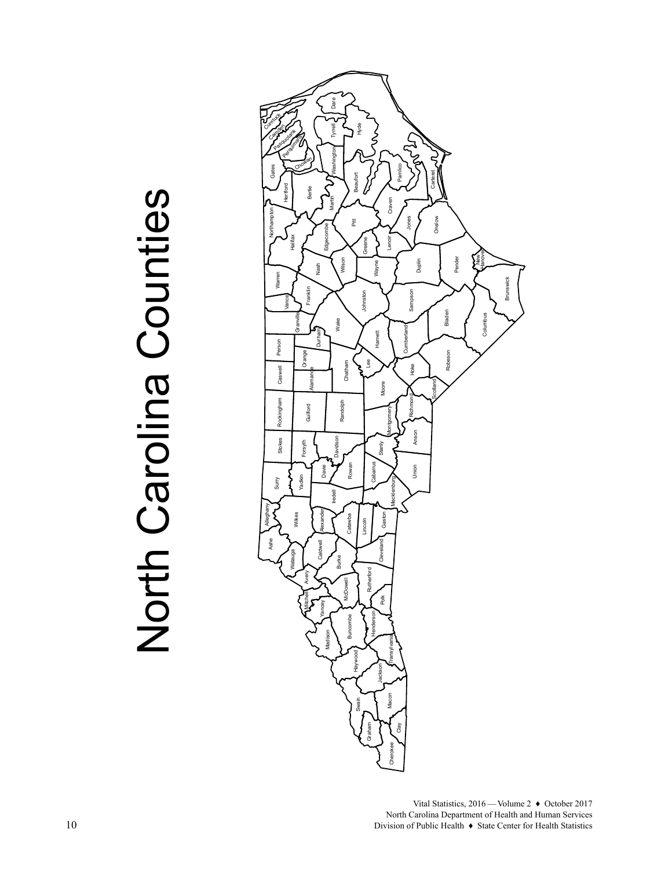# North Carolina Counties North Carolina Counties